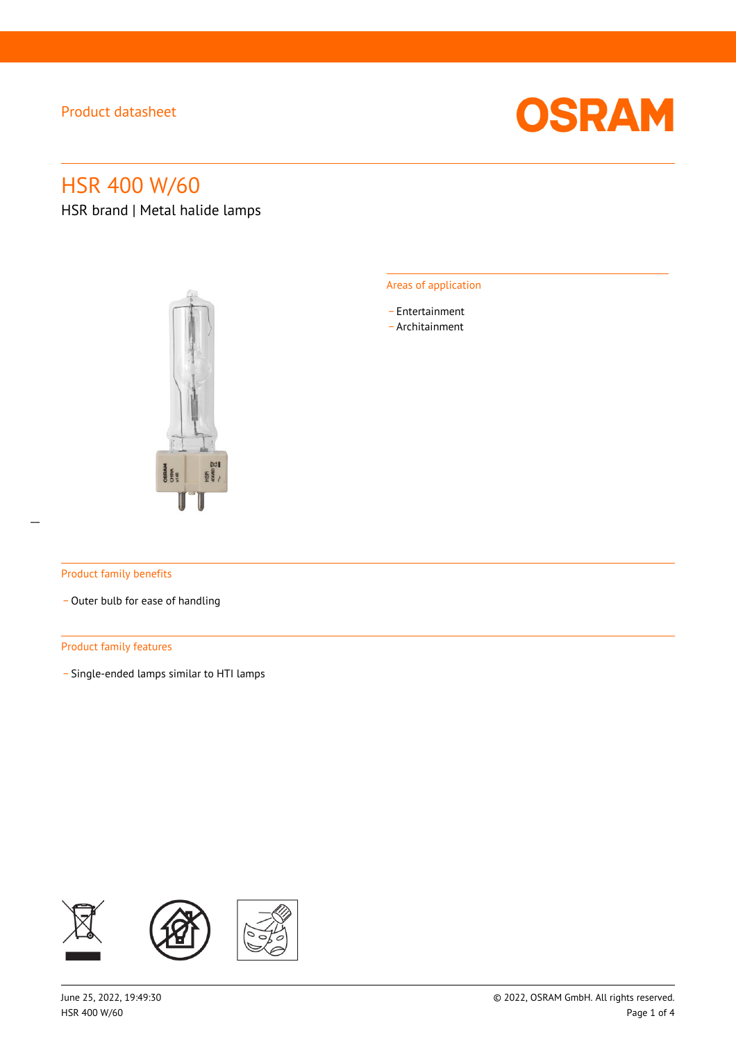

# HSR 400 W/60

HSR brand | Metal halide lamps



### Areas of application

- \_ Entertainment
- \_ Architainment

### Product family benefits

- Outer bulb for ease of handling

### Product family features

\_ Single-ended lamps similar to HTI lamps

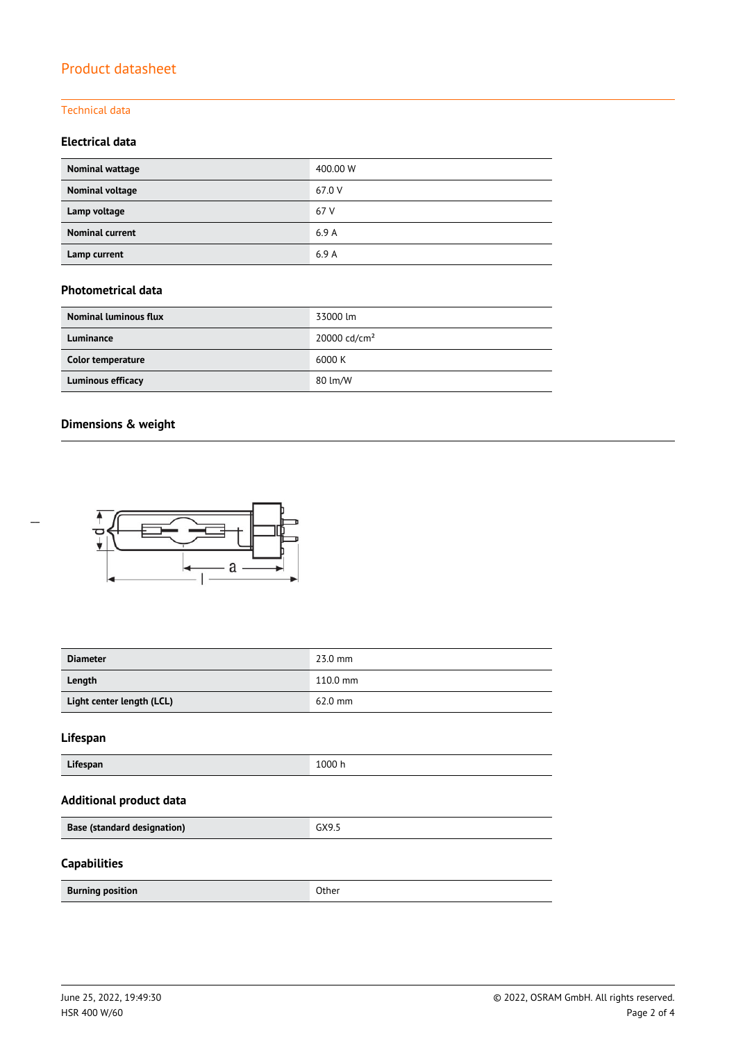### Technical data

### **Electrical data**

| Nominal wattage        | 400.00 W |
|------------------------|----------|
| Nominal voltage        | 67.0 V   |
| Lamp voltage           | 67 V     |
| <b>Nominal current</b> | 6.9A     |
| Lamp current           | 6.9A     |

### **Photometrical data**

| <b>Nominal luminous flux</b> | 33000 lm                 |
|------------------------------|--------------------------|
| Luminance                    | 20000 cd/cm <sup>2</sup> |
| Color temperature            | 6000 K                   |
| Luminous efficacy            | 80 lm/W                  |

### **Dimensions & weight**

 $\overline{a}$ 



| <b>Diameter</b>                    | 23.0 mm  |
|------------------------------------|----------|
| Length                             | 110.0 mm |
| Light center length (LCL)          | 62.0 mm  |
| Lifespan                           |          |
| Lifespan                           | 1000 h   |
| <b>Additional product data</b>     |          |
| <b>Base (standard designation)</b> | GX9.5    |
| <b>Capabilities</b>                |          |
| <b>Burning position</b>            | Other    |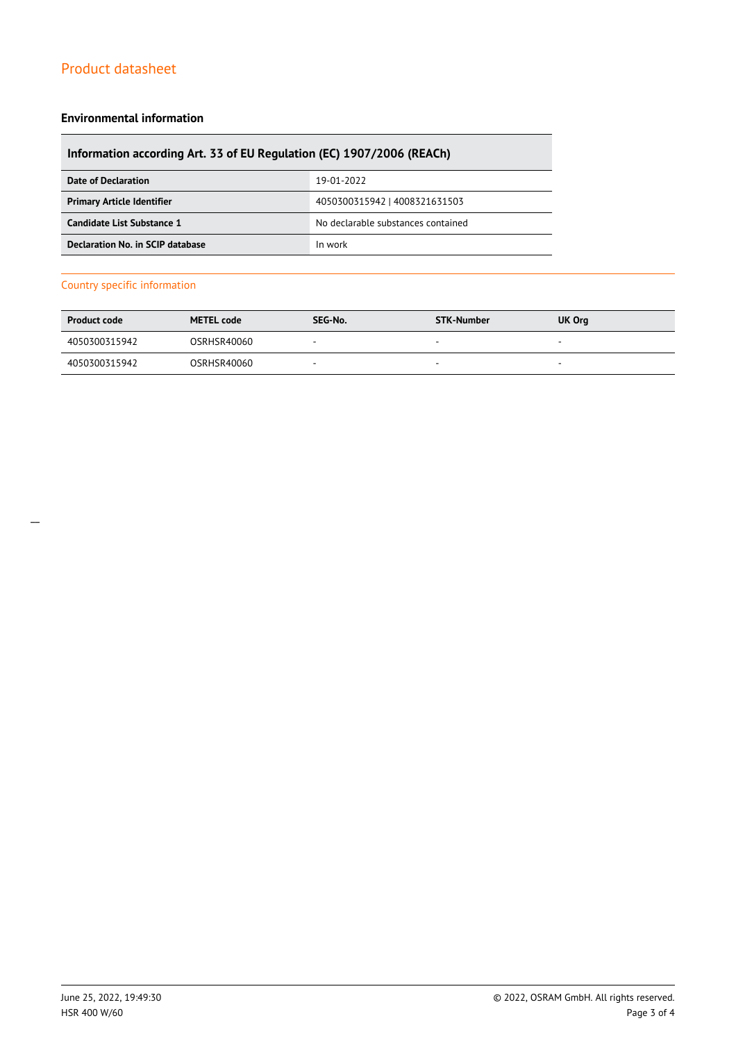### **Environmental information**

### **Information according Art. 33 of EU Regulation (EC) 1907/2006 (REACh)**

| Date of Declaration               | 19-01-2022                         |
|-----------------------------------|------------------------------------|
| <b>Primary Article Identifier</b> | 4050300315942   4008321631503      |
| Candidate List Substance 1        | No declarable substances contained |
| Declaration No. in SCIP database  | In work                            |

### Country specific information

| <b>Product code</b> | <b>METEL code</b> | SEG-No. | STK-Number               | <b>UK Org</b>            |
|---------------------|-------------------|---------|--------------------------|--------------------------|
| 4050300315942       | OSRHSR40060       | $\sim$  |                          | $\overline{\phantom{a}}$ |
| 4050300315942       | OSRHSR40060       |         | $\overline{\phantom{a}}$ | -                        |